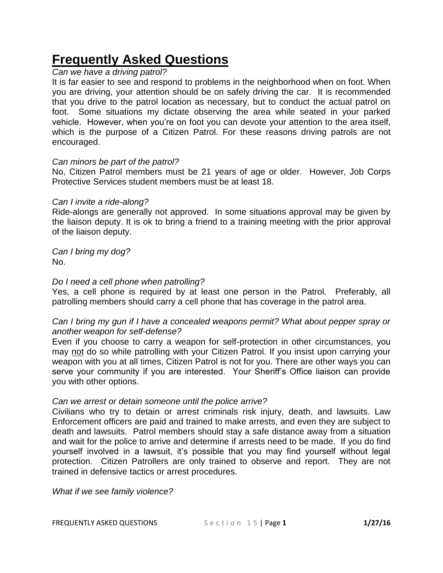# **Frequently Asked Questions**

## *Can we have a driving patrol?*

It is far easier to see and respond to problems in the neighborhood when on foot. When you are driving, your attention should be on safely driving the car. It is recommended that you drive to the patrol location as necessary, but to conduct the actual patrol on foot. Some situations my dictate observing the area while seated in your parked vehicle. However, when you're on foot you can devote your attention to the area itself, which is the purpose of a Citizen Patrol. For these reasons driving patrols are not encouraged.

### *Can minors be part of the patrol?*

No, Citizen Patrol members must be 21 years of age or older. However, Job Corps Protective Services student members must be at least 18.

### *Can I invite a ride-along?*

Ride-alongs are generally not approved. In some situations approval may be given by the liaison deputy. It is ok to bring a friend to a training meeting with the prior approval of the liaison deputy.

*Can I bring my dog?* No.

### *Do I need a cell phone when patrolling?*

Yes, a cell phone is required by at least one person in the Patrol. Preferably, all patrolling members should carry a cell phone that has coverage in the patrol area.

## *Can I bring my gun if I have a concealed weapons permit? What about pepper spray or another weapon for self-defense?*

Even if you choose to carry a weapon for self-protection in other circumstances, you may not do so while patrolling with your Citizen Patrol. If you insist upon carrying your weapon with you at all times, Citizen Patrol is not for you. There are other ways you can serve your community if you are interested. Your Sheriff's Office liaison can provide you with other options.

## *Can we arrest or detain someone until the police arrive?*

Civilians who try to detain or arrest criminals risk injury, death, and lawsuits. Law Enforcement officers are paid and trained to make arrests, and even they are subject to death and lawsuits. Patrol members should stay a safe distance away from a situation and wait for the police to arrive and determine if arrests need to be made. If you do find yourself involved in a lawsuit, it's possible that you may find yourself without legal protection. Citizen Patrollers are only trained to observe and report. They are not trained in defensive tactics or arrest procedures.

*What if we see family violence?*